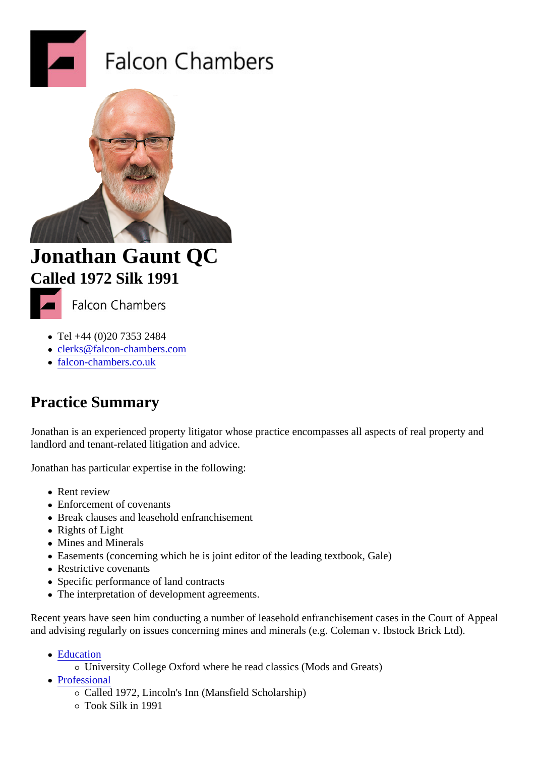## Jonathan Gaunt QC Called 1972Silk 1991

- Tel +44 (0)20 7353 2484
- clerks@falcon-chambers.com
- falcon-chambers.co.uk

## Pra[ctice Summar](http://www.falcon-chambers.co.uk)[y](mailto:clerks@falcon-chambers.com)

Jonathan is an experienced property litigator whose practice encompasses all aspects of real property and landlord and tenant-related litigation and advice.

Jonathan has particular expertise in the following:

- Rent review
- Enforcement of covenants
- Break clauses and leasehold enfranchisement
- Rights of Light
- Mines and Minerals
- Easements (concerning which he is joint editor of the leading textbook, Gale)
- Restrictive covenants
- Specific performance of land contracts
- The interpretation of development agreements.

Recent years have seen him conducting a number of leasehold enfranchisement cases in the Court of Appeal and advising regularly on issues concerning mines and minerals (e.g. Coleman v. Ibstock Brick Ltd).

- Education
	- University College Oxford where he read classics (Mods and Greats)
- Professional
	- Called 1972, Lincoln's Inn (Mansfield Scholarship)
	- Took Silk in 1991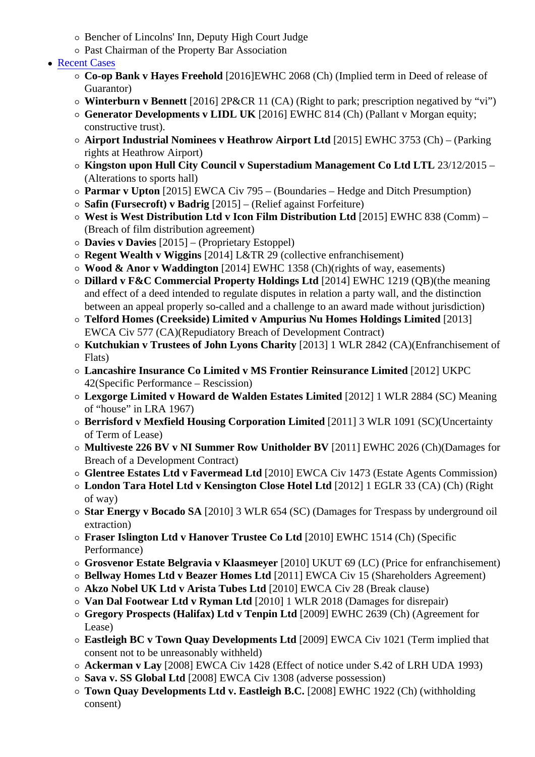- Past Chairman of the Property Bar Association
- Recent Cases
	- Co-op Bank v Hayes Freehold 2016] EWHC 2068 (Ch) (Implied term in Deed of release of Guarantor)
	- Winterburn v Bennett [2016] 2P&CR 11 (CA) (Right to park; prescription negatived by "vi")
	- Generator Developments v LIDL UK [2016] EWHC 814 (Ch) (Pallant v Morgan equity; constructive trust).
	- $\circ$  Airport Industrial Nominees v Heathrow Airport Ltd [2015] EWHC 3753 (Ch) (Parking rights at Heathrow Airport)
	- Kingston upon Hull City Council v Superstadium Management Co Ltd LTL 23/12/2015 (Alterations to sports hall)
	- $\circ$  Parmar v Upton [2015] EWCA Civ 795 (Boundaries Hedge and Ditch Presumption)
	- $\circ$  Safin (Fursecroft) v Badrig [2015] (Relief against Forfeiture)
	- West is West Distribution Ltd v Icon Film Distribution Ltd [2015] EWHC 838 (Comm) (Breach of film distribution agreement)
	- $\circ$  Davies v Davies [2015] (Proprietary Estoppel)
	- $\circ$  Regent Wealth v Wiggins [2014] L&TR 29 (collective enfranchisement)
	- Wood & Anor v Waddington [2014] EWHC 1358 (Ch)(rights of way, easements)
	- $\circ$  Dillard v F&C Commercial Property Holdings Ltd [2014] EWHC 1219 (QB)(the meaning and effect of a deed intended to regulate disputes in relation a party wall, and the distinction between an appeal properly so-called and a challenge to an award made without jurisdiction)
	- Telford Homes (Creekside) Limited v Ampurius Nu Homes Holdings Limited [2013] EWCA Civ 577 (CA)(Repudiatory Breach of Development Contract)
	- $\circ$  Kutchukian v Trustees of John Lyons Charity [2013] 1 WLR 2842 (CA)(Enfranchisement of Flats)
	- $\circ$  Lancashire Insurance Co Limited v MS Frontier Reinsurance Limited [2012] UKPC 42(Specific Performance – Rescission)
	- Lexgorge Limited v Howard de Walden Estates Limited 2012] 1 WLR 2884 (SC) Meaning of "house" in LRA 1967)
	- Berrisford v Mexfield Housing Corporation Limited [2011] 3 WLR 1091 (SC)(Uncertainty of Term of Lease)
	- Multiveste 226 BV v NI Summer Row Unitholder BV [2011] EWHC 2026 (Ch)(Damages for Breach of a Development Contract)
	- Glentree Estates Ltd v Favermead Ltd 2010] EWCA Civ 1473 (Estate Agents Commission)
	- London Tara Hotel Ltd v Kensington Close Hotel Ltd [2012] 1 EGLR 33 (CA) (Ch) (Right of way)
	- $\circ$  Star Energy v Bocado SA (2010) 3 WLR 654 (SC) (Damages for Trespass by underground oil extraction)
	- Fraser Islington Ltd v Hanover Trustee Co Ltd [2010] EWHC 1514 (Ch) (Specific Performance)
	- $\circ$  Grosvenor Estate Belgravia v Klaasmever 2010] UKUT 69 (LC) (Price for enfranchisement)
	- Bellway Homes Ltd v Beazer Homes Ltd 2011] EWCA Civ 15 (Shareholders Agreement)
	- $\circ$  Akzo Nobel UK Ltd v Arista Tubes Ltd [2010] EWCA Civ 28 (Break clause)
	- Van Dal Footwear Ltd v Ryman Ltd [2010] 1 WLR 2018 (Damages for disrepair)
	- Gregory Prospects (Halifax) Ltd v Tenpin Ltd [2009] EWHC 2639 (Ch) (Agreement for Lease)
	- Eastleigh BC v Town Quay Developments Ltd 2009] EWCA Civ 1021 (Term implied that consent not to be unreasonably withheld)
	- Ackerman v Lay [2008] EWCA Civ 1428 (Effect of notice under S.42 of LRH UDA 1993)
	- Sava v. SS Global Ltd 2008] EWCA Civ 1308 (adverse possession)
	- Town Quay Developments Ltd v. Eastleigh B. [2008] EWHC 1922 (Ch) (withholding consent)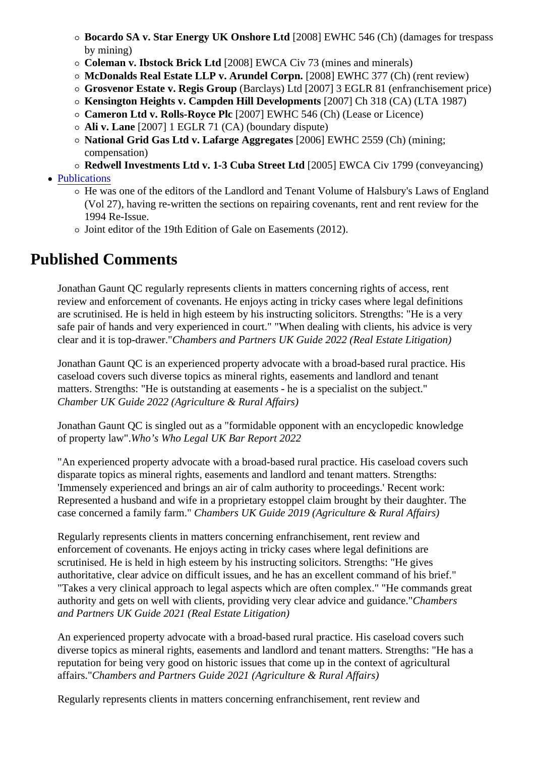- by mining)
- $\circ$  Coleman v. Ibstock Brick Ltd [2008] EWCA Civ 73 (mines and minerals)
- McDonalds Real Estate LLP v. Arundel Corpn. [2008] EWHC 377 (Ch) (rent review)
- $\circ$  Grosvenor Estate v. Regis Group Barclays) Ltd [2007] 3 EGLR 81 (enfranchisement price)
- $\circ$  Kensington Heights v. Campden Hill Development $\sharp$  2007] Ch 318 (CA) (LTA 1987)
- $\circ$  Cameron Ltd v. Rolls-Royce Pld  $2007$ ] EWHC 546 (Ch) (Lease or Licence)
- Ali v. Lane [2007] 1 EGLR 71 (CA) (boundary dispute)
- o National Grid Gas Ltd v. Lafarge Aggregates [2006] EWHC 2559 (Ch) (mining; compensation)
- Redwell Investments Ltd v. 1-3 Cuba Street Ltd [2005] EWCA Civ 1799 (conveyancing)
- Publications
	- o He was one of the editors of the Landlord and Tenant Volume of Halsbury's Laws of England (Vol 27), having re-written the sections on repairing covenants, rent and rent review for the 1994 Re-Issue.
	- Joint editor of the 19th Edition of Gale on Easements (2012).

## Published Comments

Jonathan Gaunt QC regularly represents clients in matters concerning rights of access, rent review and enforcement of covenants. He enjoys acting in tricky cases where legal definitions are scrutinised. He is held in high esteem by his instructing solicitors. Strengths: "He is a very safe pair of hands and very experienced in court." "When dealing with clients, his advice is very clear and it is top-drawe Chambers and Partners UK Guide 2022 (Real Estate Litigation)

Jonathan Gaunt QC is an experienced property advocate with a broad-based rural practice. His caseload covers such diverse topics as mineral rights, easements and landlord and tenant matters. Strengths: "He is outstanding at easements - he is a specialist on the subject." Chamber UK Guide 2022 (Agriculture & Rural Affairs)

Jonathan Gaunt QC is singled out as a "formidable opponent with an encyclopedic knowledge of property law"Who's Who Legal UK Bar Report 2022

"An experienced property advocate with a broad-based rural practice. His caseload covers such disparate topics as mineral rights, easements and landlord and tenant matters. Strengths: 'Immensely experienced and brings an air of calm authority to proceedings.' Recent work: Represented a husband and wife in a proprietary estoppel claim brought by their daughter. The case concerned a family farmChambers UK Guide 2019 (Agriculture & Rural Affairs)

Regularly represents clients in matters concerning enfranchisement, rent review and enforcement of covenants. He enjoys acting in tricky cases where legal definitions are scrutinised. He is held in high esteem by his instructing solicitors. Strengths: "He gives authoritative, clear advice on difficult issues, and he has an excellent command of his brief." "Takes a very clinical approach to legal aspects which are often complex." "He commands great authority and gets on well with clients, providing very clear advice and guid**ance**nbers and Partners UK Guide 2021 (Real Estate Litigation)

An experienced property advocate with a broad-based rural practice. His caseload covers such diverse topics as mineral rights, easements and landlord and tenant matters. Strengths: "He has a reputation for being very good on historic issues that come up in the context of agricultural affairs."Chambers and Partners Guide 2021 (Agriculture & Rural Affairs)

Regularly represents clients in matters concerning enfranchisement, rent review and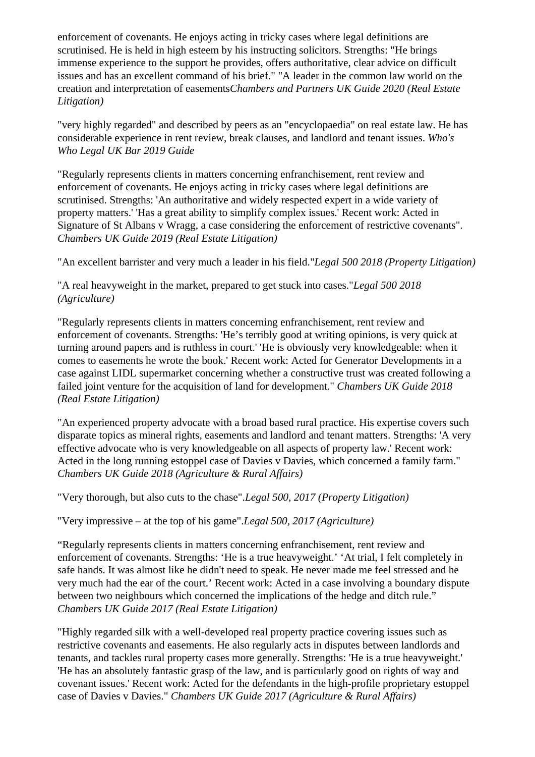enforcement of covenants. He enjoys acting in tricky cases where legal definitions are scrutinised. He is held in high esteem by his instructing solicitors. Strengths: "He brings immense experience to the support he provides, offers authoritative, clear advice on difficult issues and has an excellent command of his brief." "A leader in the common law world on the creation and interpretation of easements*Chambers and Partners UK Guide 2020 (Real Estate Litigation)*

"very highly regarded" and described by peers as an "encyclopaedia" on real estate law. He has considerable experience in rent review, break clauses, and landlord and tenant issues. *Who's Who Legal UK Bar 2019 Guide* 

"Regularly represents clients in matters concerning enfranchisement, rent review and enforcement of covenants. He enjoys acting in tricky cases where legal definitions are scrutinised. Strengths: 'An authoritative and widely respected expert in a wide variety of property matters.' 'Has a great ability to simplify complex issues.' Recent work: Acted in Signature of St Albans v Wragg, a case considering the enforcement of restrictive covenants". *Chambers UK Guide 2019 (Real Estate Litigation)*

"An excellent barrister and very much a leader in his field."*Legal 500 2018 (Property Litigation)*

"A real heavyweight in the market, prepared to get stuck into cases."*Legal 500 2018 (Agriculture)* 

"Regularly represents clients in matters concerning enfranchisement, rent review and enforcement of covenants. Strengths: 'He's terribly good at writing opinions, is very quick at turning around papers and is ruthless in court.' 'He is obviously very knowledgeable: when it comes to easements he wrote the book.' Recent work: Acted for Generator Developments in a case against LIDL supermarket concerning whether a constructive trust was created following a failed joint venture for the acquisition of land for development." *Chambers UK Guide 2018 (Real Estate Litigation)*

"An experienced property advocate with a broad based rural practice. His expertise covers such disparate topics as mineral rights, easements and landlord and tenant matters. Strengths: 'A very effective advocate who is very knowledgeable on all aspects of property law.' Recent work: Acted in the long running estoppel case of Davies v Davies, which concerned a family farm." *Chambers UK Guide 2018 (Agriculture & Rural Affairs)*

"Very thorough, but also cuts to the chase".*Legal 500, 2017 (Property Litigation)*

"Very impressive – at the top of his game".*Legal 500, 2017 (Agriculture)*

"Regularly represents clients in matters concerning enfranchisement, rent review and enforcement of covenants. Strengths: 'He is a true heavyweight.' 'At trial, I felt completely in safe hands. It was almost like he didn't need to speak. He never made me feel stressed and he very much had the ear of the court.' Recent work: Acted in a case involving a boundary dispute between two neighbours which concerned the implications of the hedge and ditch rule." *Chambers UK Guide 2017 (Real Estate Litigation)*

"Highly regarded silk with a well-developed real property practice covering issues such as restrictive covenants and easements. He also regularly acts in disputes between landlords and tenants, and tackles rural property cases more generally. Strengths: 'He is a true heavyweight.' 'He has an absolutely fantastic grasp of the law, and is particularly good on rights of way and covenant issues.' Recent work: Acted for the defendants in the high-profile proprietary estoppel case of Davies v Davies." *Chambers UK Guide 2017 (Agriculture & Rural Affairs)*